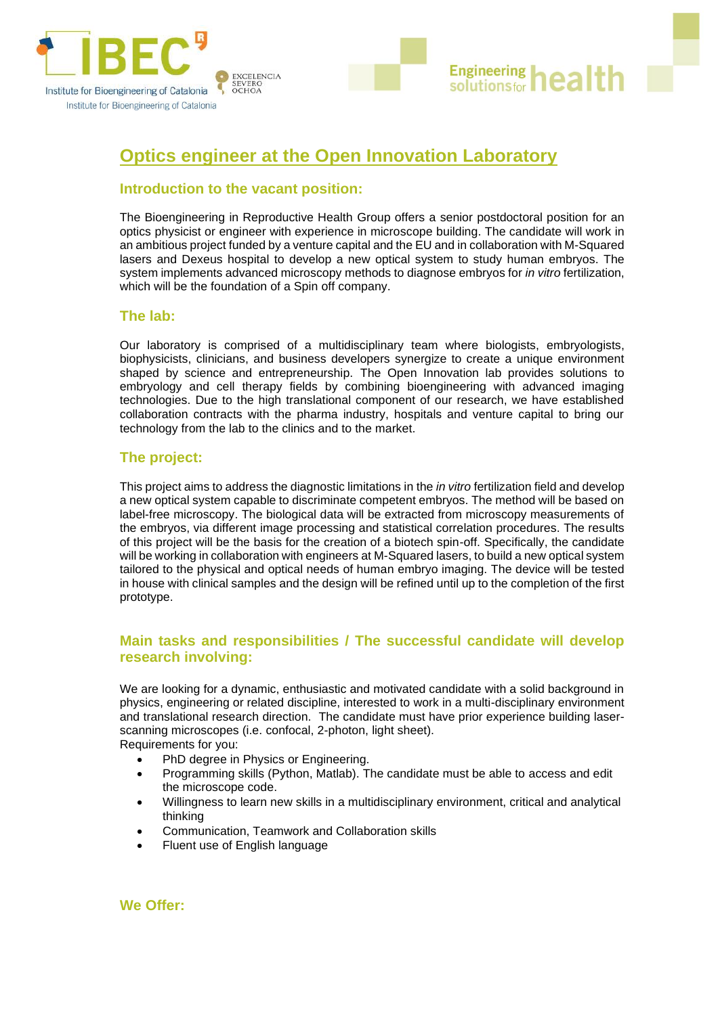

# **Optics engineer at the Open Innovation Laboratory**

# **Introduction to the vacant position:**

The [Bioengineering in Reproductive Health](http://www.ibecbarcelona.eu/nanobioelec?page_id=9245) Group offers a senior postdoctoral position for an optics physicist or engineer with experience in microscope building. The candidate will work in an ambitious project funded by a venture capital and the EU and in collaboration with M-Squared lasers and Dexeus hospital to develop a new optical system to study human embryos. The system implements advanced microscopy methods to diagnose embryos for *in vitro* fertilization, which will be the foundation of a Spin off company.

**Engineering** 

solutionsfor

# **The lab:**

Our laboratory is comprised of a multidisciplinary team where biologists, embryologists, biophysicists, clinicians, and business developers synergize to create a unique environment shaped by science and entrepreneurship. The Open Innovation lab provides solutions to embryology and cell therapy fields by combining bioengineering with advanced imaging technologies. Due to the high translational component of our research, we have established collaboration contracts with the pharma industry, hospitals and venture capital to bring our technology from the lab to the clinics and to the market.

# **The project:**

This project aims to address the diagnostic limitations in the *in vitro* fertilization field and develop a new optical system capable to discriminate competent embryos. The method will be based on label-free microscopy. The biological data will be extracted from microscopy measurements of the embryos, via different image processing and statistical correlation procedures. The results of this project will be the basis for the creation of a biotech spin-off. Specifically, the candidate will be working in collaboration with engineers at M-Squared lasers, to build a new optical system tailored to the physical and optical needs of human embryo imaging. The device will be tested in house with clinical samples and the design will be refined until up to the completion of the first prototype.

# **Main tasks and responsibilities / The successful candidate will develop research involving:**

We are looking for a dynamic, enthusiastic and motivated candidate with a solid background in physics, engineering or related discipline, interested to work in a multi-disciplinary environment and translational research direction. The candidate must have prior experience building laserscanning microscopes (i.e. confocal, 2-photon, light sheet). Requirements for you:

- PhD degree in Physics or Engineering.
- Programming skills (Python, Matlab). The candidate must be able to access and edit the microscope code.
- Willingness to learn new skills in a multidisciplinary environment, critical and analytical thinking
- Communication, Teamwork and Collaboration skills
- Fluent use of English language

**We Offer:**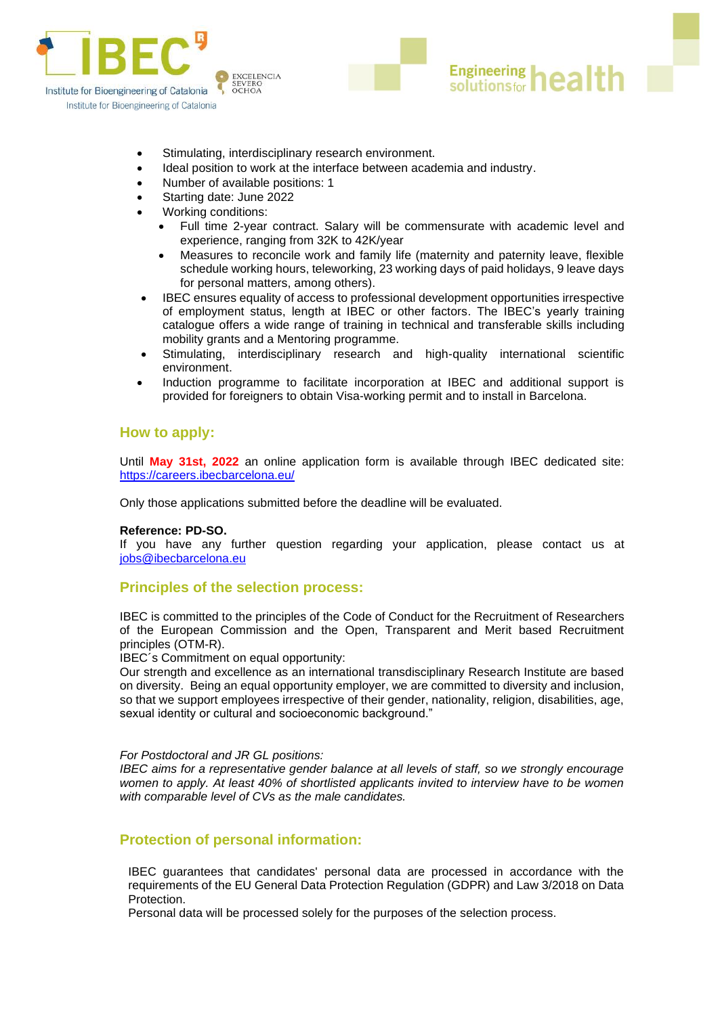



- Ideal position to work at the interface between academia and industry.
- Number of available positions: 1
- Starting date: June 2022
- Working conditions:
	- Full time 2-year contract. Salary will be commensurate with academic level and experience, ranging from 32K to 42K/year

**Engineering** 

solutionsfor

גמו

- Measures to reconcile work and family life (maternity and paternity leave, flexible schedule working hours, teleworking, 23 working days of paid holidays, 9 leave days for personal matters, among others).
- IBEC ensures equality of access to professional development opportunities irrespective of employment status, length at IBEC or other factors. The IBEC's yearly training catalogue offers a wide range of training in technical and transferable skills including mobility grants and a Mentoring programme.
- Stimulating, interdisciplinary research and high-quality international scientific environment.
- Induction programme to facilitate incorporation at IBEC and additional support is provided for foreigners to obtain Visa-working permit and to install in Barcelona.

### **How to apply:**

Until **May 31st, 2022** an [online application form](https://careers.ibecbarcelona.eu/) is available through IBEC dedicated site: <https://careers.ibecbarcelona.eu/>

Only those applications submitted before the deadline will be evaluated.

#### **Reference: PD-SO.**

If you have any further question regarding your application, please contact us at [jobs@ibecbarcelona.eu](mailto:jobs@ibecbarcelona.eu)

#### **Principles of the selection process:**

IBEC is committed to the principles of the Code of Conduct for the Recruitment of Researchers of the European Commission and the Open, Transparent and Merit based Recruitment principles (OTM-R).

IBEC´s Commitment on equal opportunity:

Our strength and excellence as an international transdisciplinary Research Institute are based on diversity. Being an equal opportunity employer, we are committed to diversity and inclusion, so that we support employees irrespective of their gender, nationality, religion, disabilities, age, sexual identity or cultural and socioeconomic background."

#### *For Postdoctoral and JR GL positions:*

*IBEC aims for a representative gender balance at all levels of staff, so we strongly encourage women to apply. At least 40% of shortlisted applicants invited to interview have to be women with comparable level of CVs as the male candidates.*

### **Protection of personal information:**

IBEC guarantees that candidates' personal data are processed in accordance with the requirements of the EU General Data Protection Regulation (GDPR) and Law 3/2018 on Data Protection.

Personal data will be processed solely for the purposes of the selection process.